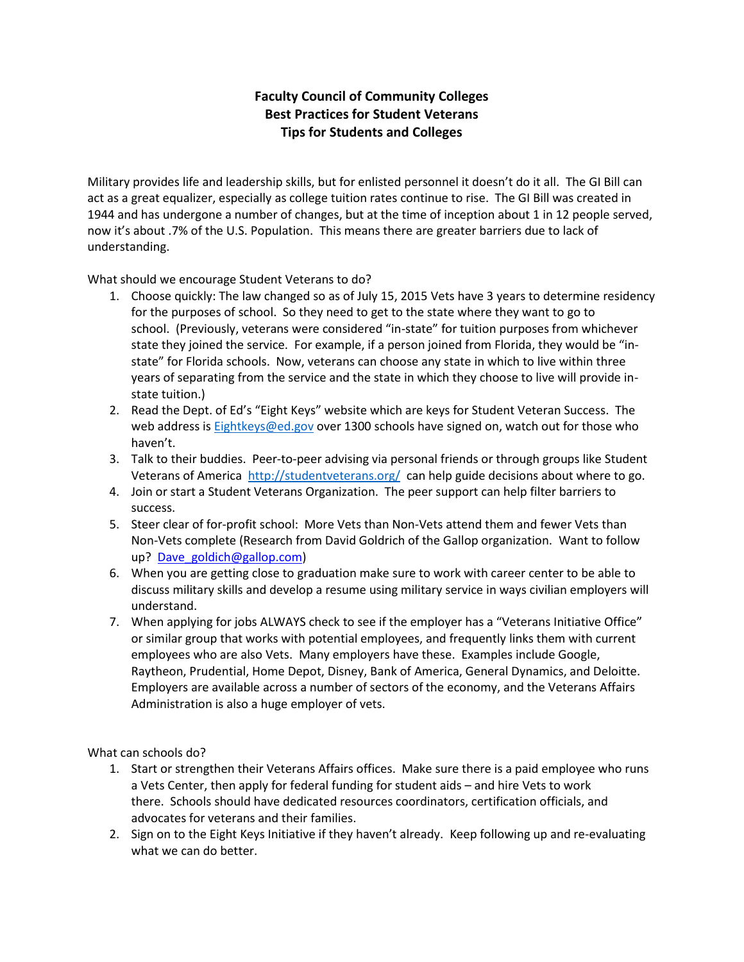## **Faculty Council of Community Colleges Best Practices for Student Veterans Tips for Students and Colleges**

Military provides life and leadership skills, but for enlisted personnel it doesn't do it all. The GI Bill can act as a great equalizer, especially as college tuition rates continue to rise. The GI Bill was created in 1944 and has undergone a number of changes, but at the time of inception about 1 in 12 people served, now it's about .7% of the U.S. Population. This means there are greater barriers due to lack of understanding.

What should we encourage Student Veterans to do?

- 1. Choose quickly: The law changed so as of July 15, 2015 Vets have 3 years to determine residency for the purposes of school. So they need to get to the state where they want to go to school. (Previously, veterans were considered "in-state" for tuition purposes from whichever state they joined the service. For example, if a person joined from Florida, they would be "instate" for Florida schools. Now, veterans can choose any state in which to live within three years of separating from the service and the state in which they choose to live will provide instate tuition.)
- 2. Read the Dept. of Ed's "Eight Keys" website which are keys for Student Veteran Success. The web address is **Eightkeys@ed.gov** over 1300 schools have signed on, watch out for those who haven't.
- 3. Talk to their buddies. Peer-to-peer advising via personal friends or through groups like Student Veterans of America <http://studentveterans.org/> can help guide decisions about where to go.
- 4. Join or start a Student Veterans Organization. The peer support can help filter barriers to success.
- 5. Steer clear of for-profit school: More Vets than Non-Vets attend them and fewer Vets than Non-Vets complete (Research from David Goldrich of the Gallop organization. Want to follow up? Dave goldich@gallop.com)
- 6. When you are getting close to graduation make sure to work with career center to be able to discuss military skills and develop a resume using military service in ways civilian employers will understand.
- 7. When applying for jobs ALWAYS check to see if the employer has a "Veterans Initiative Office" or similar group that works with potential employees, and frequently links them with current employees who are also Vets. Many employers have these. Examples include Google, Raytheon, Prudential, Home Depot, Disney, Bank of America, General Dynamics, and Deloitte. Employers are available across a number of sectors of the economy, and the Veterans Affairs Administration is also a huge employer of vets.

What can schools do?

- 1. Start or strengthen their Veterans Affairs offices. Make sure there is a paid employee who runs a Vets Center, then apply for federal funding for student aids – and hire Vets to work there. Schools should have dedicated resources coordinators, certification officials, and advocates for veterans and their families.
- 2. Sign on to the Eight Keys Initiative if they haven't already. Keep following up and re-evaluating what we can do better.